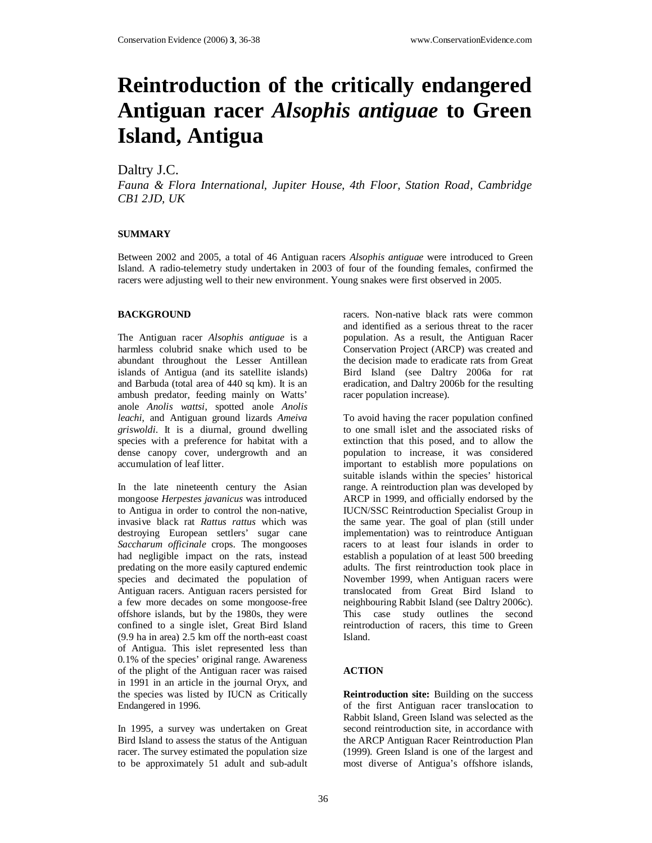# **Reintroduction of the critically endangered Antiguan racer** *Alsophis antiguae* **to Green Island, Antigua**

## Daltry J.C.

*Fauna & Flora International, Jupiter House, 4th Floor, Station Road, Cambridge CB1 2JD, UK*

### **SUMMARY**

Between 2002 and 2005, a total of 46 Antiguan racers *Alsophis antiguae* were introduced to Green Island. A radio-telemetry study undertaken in 2003 of four of the founding females, confirmed the racers were adjusting well to their new environment. Young snakes were first observed in 2005.

#### **BACKGROUND**

The Antiguan racer *Alsophis antiguae* is a harmless colubrid snake which used to be abundant throughout the Lesser Antillean islands of Antigua (and its satellite islands) and Barbuda (total area of 440 sq km). It is an ambush predator, feeding mainly on Watts' anole *Anolis wattsi*, spotted anole *Anolis leachi*, and Antiguan ground lizards *Ameiva griswoldi*. It is a diurnal, ground dwelling species with a preference for habitat with a dense canopy cover, undergrowth and an accumulation of leaf litter.

In the late nineteenth century the Asian mongoose *Herpestes javanicus* was introduced to Antigua in order to control the non-native, invasive black rat *Rattus rattus* which was destroying European settlers' sugar cane *Saccharum officinale* crops. The mongooses had negligible impact on the rats, instead predating on the more easily captured endemic species and decimated the population of Antiguan racers. Antiguan racers persisted for a few more decades on some mongoose-free offshore islands, but by the 1980s, they were confined to a single islet, Great Bird Island (9.9 ha in area) 2.5 km off the north-east coast of Antigua. This islet represented less than 0.1% of the species' original range. Awareness of the plight of the Antiguan racer was raised in 1991 in an article in the journal Oryx, and the species was listed by IUCN as Critically Endangered in 1996.

In 1995, a survey was undertaken on Great Bird Island to assess the status of the Antiguan racer. The survey estimated the population size to be approximately 51 adult and sub-adult

racers. Non-native black rats were common and identified as a serious threat to the racer population. As a result, the Antiguan Racer Conservation Project (ARCP) was created and the decision made to eradicate rats from Great Bird Island (see Daltry 2006a for rat eradication, and Daltry 2006b for the resulting racer population increase).

To avoid having the racer population confined to one small islet and the associated risks of extinction that this posed, and to allow the population to increase, it was considered important to establish more populations on suitable islands within the species' historical range. A reintroduction plan was developed by ARCP in 1999, and officially endorsed by the IUCN/SSC Reintroduction Specialist Group in the same year. The goal of plan (still under implementation) was to reintroduce Antiguan racers to at least four islands in order to establish a population of at least 500 breeding adults. The first reintroduction took place in November 1999, when Antiguan racers were translocated from Great Bird Island to neighbouring Rabbit Island (see Daltry 2006c). This case study outlines the second reintroduction of racers, this time to Green Island.

#### **ACTION**

**Reintroduction site:** Building on the success of the first Antiguan racer translocation to Rabbit Island, Green Island was selected as the second reintroduction site, in accordance with the ARCP Antiguan Racer Reintroduction Plan (1999). Green Island is one of the largest and most diverse of Antigua's offshore islands,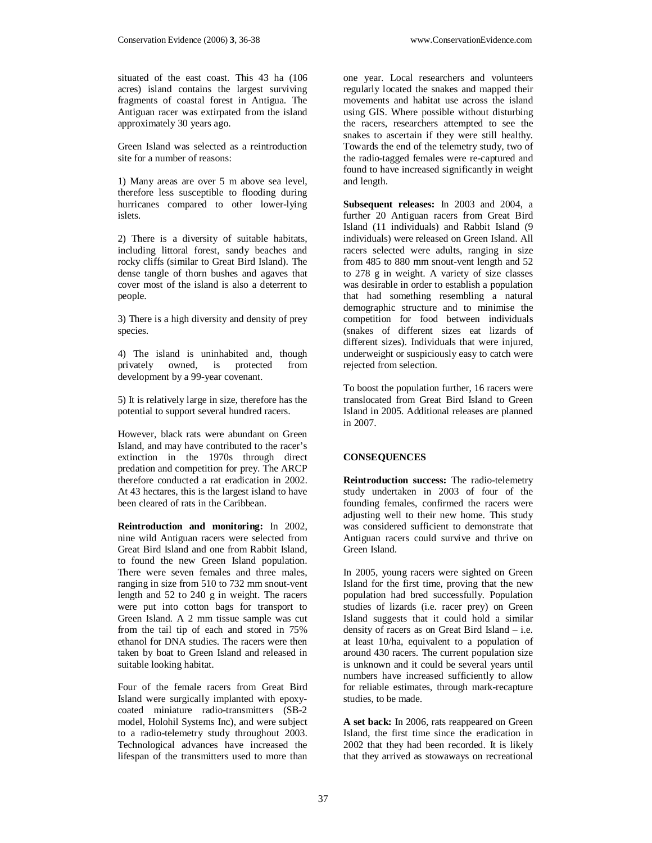situated of the east coast. This 43 ha (106 acres) island contains the largest surviving fragments of coastal forest in Antigua. The Antiguan racer was extirpated from the island approximately 30 years ago.

Green Island was selected as a reintroduction site for a number of reasons:

1) Many areas are over 5 m above sea level, therefore less susceptible to flooding during hurricanes compared to other lower-lying islets.

2) There is a diversity of suitable habitats, including littoral forest, sandy beaches and rocky cliffs (similar to Great Bird Island). The dense tangle of thorn bushes and agaves that cover most of the island is also a deterrent to people.

3) There is a high diversity and density of prey species.

4) The island is uninhabited and, though privately owned, is protected from development by a 99-year covenant.

5) It is relatively large in size, therefore has the potential to support several hundred racers.

However, black rats were abundant on Green Island, and may have contributed to the racer's extinction in the 1970s through direct predation and competition for prey. The ARCP therefore conducted a rat eradication in 2002. At 43 hectares, this is the largest island to have been cleared of rats in the Caribbean.

**Reintroduction and monitoring:** In 2002, nine wild Antiguan racers were selected from Great Bird Island and one from Rabbit Island, to found the new Green Island population. There were seven females and three males, ranging in size from 510 to 732 mm snout-vent length and 52 to 240 g in weight. The racers were put into cotton bags for transport to Green Island. A 2 mm tissue sample was cut from the tail tip of each and stored in 75% ethanol for DNA studies. The racers were then taken by boat to Green Island and released in suitable looking habitat.

Four of the female racers from Great Bird Island were surgically implanted with epoxycoated miniature radio-transmitters (SB-2 model, Holohil Systems Inc), and were subject to a radio-telemetry study throughout 2003. Technological advances have increased the lifespan of the transmitters used to more than

one year. Local researchers and volunteers regularly located the snakes and mapped their movements and habitat use across the island using GIS. Where possible without disturbing the racers, researchers attempted to see the snakes to ascertain if they were still healthy. Towards the end of the telemetry study, two of the radio-tagged females were re-captured and found to have increased significantly in weight and length.

**Subsequent releases:** In 2003 and 2004, a further 20 Antiguan racers from Great Bird Island (11 individuals) and Rabbit Island (9 individuals) were released on Green Island. All racers selected were adults, ranging in size from 485 to 880 mm snout-vent length and 52 to 278 g in weight. A variety of size classes was desirable in order to establish a population that had something resembling a natural demographic structure and to minimise the competition for food between individuals (snakes of different sizes eat lizards of different sizes). Individuals that were injured, underweight or suspiciously easy to catch were rejected from selection.

To boost the population further, 16 racers were translocated from Great Bird Island to Green Island in 2005. Additional releases are planned in 2007.

#### **CONSEQUENCES**

**Reintroduction success:** The radio-telemetry study undertaken in 2003 of four of the founding females, confirmed the racers were adjusting well to their new home. This study was considered sufficient to demonstrate that Antiguan racers could survive and thrive on Green Island.

In 2005, young racers were sighted on Green Island for the first time, proving that the new population had bred successfully. Population studies of lizards (i.e. racer prey) on Green Island suggests that it could hold a similar density of racers as on Great Bird Island – i.e. at least 10/ha, equivalent to a population of around 430 racers. The current population size is unknown and it could be several years until numbers have increased sufficiently to allow for reliable estimates, through mark-recapture studies, to be made.

**A set back:** In 2006, rats reappeared on Green Island, the first time since the eradication in 2002 that they had been recorded. It is likely that they arrived as stowaways on recreational